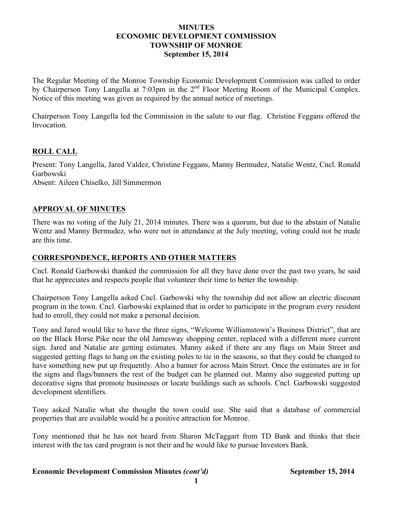## **MINUTES ECONOMIC DEVELOPMENT COMMISSION TOWNSHIP OF MONROE September 15, 2014**

The Regular Meeting of the Monroe Township Economic Development Commission was called to order by Chairperson Tony Langella at 7:03pm in the 2<sup>nd</sup> Floor Meeting Room of the Municipal Complex. Notice of this meeting was given as required by the annual notice of meetings.

Chairperson Tony Langella led the Commission in the salute to our flag. Christine Feggans offered the Invocation.

## **ROLL CALL**

Present: Tony Langella, Jared Valdez, Christine Feggans, Manny Bermudez, Natalie Wentz, Cncl. Ronald Garbowski Absent: Aileen Chiselko, Jill Simmermon

## **APPROVAL OF MINUTES**

There was no voting of the July 21, 2014 minutes. There was a quorum, but due to the abstain of Natalie Wentz and Manny Bermudez, who were not in attendance at the July meeting, voting could not be made are this time.

## **CORRESPONDENCE, REPORTS AND OTHER MATTERS**

Cncl. Ronald Garbowski thanked the commission for all they have done over the past two years, he said that he appreciates and respects people that volunteer their time to better the township.

Chairperson Tony Langella asked Cncl. Garbowski why the township did not allow an electric discount program in the town. Cncl. Garbowski explained that in order to participate in the program every resident had to enroll, they could not make a personal decision.

Tony and Jared would like to have the three signs, "Welcome Williamstown's Business District", that are on the Black Horse Pike near the old Jamesway shopping center, replaced with a different more current sign. Jared and Natalie are getting estimates. Manny asked if there are any flags on Main Street and suggested getting flags to hang on the existing poles to tie in the seasons, so that they could be changed to have something new put up frequently. Also a banner for across Main Street. Once the estimates are in for the signs and flags/banners the rest of the budget can be planned out. Manny also suggested putting up decorative signs that promote businesses or locate buildings such as schools. Cncl. Garbowski suggested development identifiers.

Tony asked Natalie what she thought the town could use. She said that a database of commercial properties that are available would be a positive attraction for Monroe.

Tony mentioned that he has not heard from Sharon McTaggart from TD Bank and thinks that their interest with the tax card program is not their and he would like to pursue Investors Bank.

#### **Economic Development Commission Minutes** *(cont'd)* **September 15, 2014**